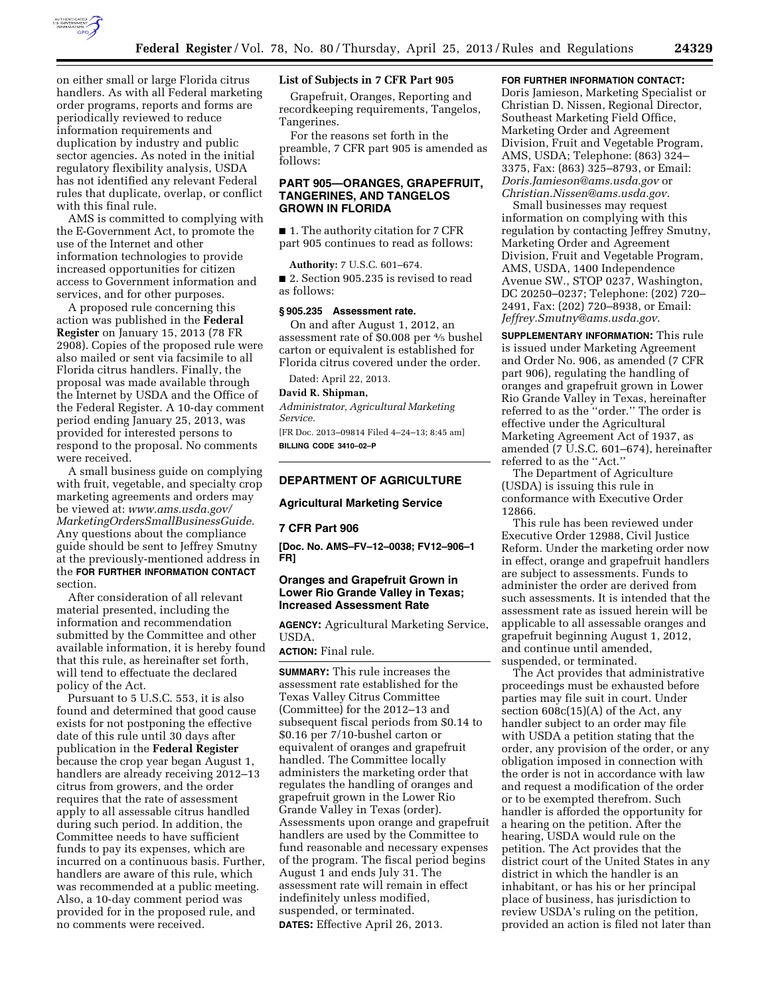

on either small or large Florida citrus handlers. As with all Federal marketing order programs, reports and forms are periodically reviewed to reduce information requirements and duplication by industry and public sector agencies. As noted in the initial regulatory flexibility analysis, USDA has not identified any relevant Federal rules that duplicate, overlap, or conflict with this final rule.

AMS is committed to complying with the E-Government Act, to promote the use of the Internet and other information technologies to provide increased opportunities for citizen access to Government information and services, and for other purposes.

A proposed rule concerning this action was published in the **Federal Register** on January 15, 2013 (78 FR 2908). Copies of the proposed rule were also mailed or sent via facsimile to all Florida citrus handlers. Finally, the proposal was made available through the Internet by USDA and the Office of the Federal Register. A 10-day comment period ending January 25, 2013, was provided for interested persons to respond to the proposal. No comments were received.

A small business guide on complying with fruit, vegetable, and specialty crop marketing agreements and orders may be viewed at: *[www.ams.usda.gov/](http://www.ams.usda.gov/MarketingOrdersSmallBusinessGuide)  [MarketingOrdersSmallBusinessGuide.](http://www.ams.usda.gov/MarketingOrdersSmallBusinessGuide)*  Any questions about the compliance guide should be sent to Jeffrey Smutny at the previously-mentioned address in the **FOR FURTHER INFORMATION CONTACT** section.

After consideration of all relevant material presented, including the information and recommendation submitted by the Committee and other available information, it is hereby found that this rule, as hereinafter set forth, will tend to effectuate the declared policy of the Act.

Pursuant to 5 U.S.C. 553, it is also found and determined that good cause exists for not postponing the effective date of this rule until 30 days after publication in the **Federal Register**  because the crop year began August 1, handlers are already receiving 2012–13 citrus from growers, and the order requires that the rate of assessment apply to all assessable citrus handled during such period. In addition, the Committee needs to have sufficient funds to pay its expenses, which are incurred on a continuous basis. Further, handlers are aware of this rule, which was recommended at a public meeting. Also, a 10-day comment period was provided for in the proposed rule, and no comments were received.

## **List of Subjects in 7 CFR Part 905**

Grapefruit, Oranges, Reporting and recordkeeping requirements, Tangelos, Tangerines.

For the reasons set forth in the preamble, 7 CFR part 905 is amended as follows:

## **PART 905—ORANGES, GRAPEFRUIT, TANGERINES, AND TANGELOS GROWN IN FLORIDA**

■ 1. The authority citation for 7 CFR part 905 continues to read as follows:

**Authority:** 7 U.S.C. 601–674.

■ 2. Section 905.235 is revised to read as follows:

## **§ 905.235 Assessment rate.**

On and after August 1, 2012, an assessment rate of \$0.008 per 4⁄5 bushel carton or equivalent is established for Florida citrus covered under the order.

Dated: April 22, 2013.

#### **David R. Shipman,**

*Administrator, Agricultural Marketing Service.* 

[FR Doc. 2013–09814 Filed 4–24–13; 8:45 am] **BILLING CODE 3410–02–P** 

## **DEPARTMENT OF AGRICULTURE**

## **Agricultural Marketing Service**

#### **7 CFR Part 906**

**[Doc. No. AMS–FV–12–0038; FV12–906–1 FR]** 

# **Oranges and Grapefruit Grown in Lower Rio Grande Valley in Texas; Increased Assessment Rate**

**AGENCY:** Agricultural Marketing Service, USDA.

**ACTION:** Final rule.

**SUMMARY:** This rule increases the assessment rate established for the Texas Valley Citrus Committee (Committee) for the 2012–13 and subsequent fiscal periods from \$0.14 to \$0.16 per 7/10-bushel carton or equivalent of oranges and grapefruit handled. The Committee locally administers the marketing order that regulates the handling of oranges and grapefruit grown in the Lower Rio Grande Valley in Texas (order). Assessments upon orange and grapefruit handlers are used by the Committee to fund reasonable and necessary expenses of the program. The fiscal period begins August 1 and ends July 31. The assessment rate will remain in effect indefinitely unless modified, suspended, or terminated. **DATES:** Effective April 26, 2013.

#### **FOR FURTHER INFORMATION CONTACT:**

Doris Jamieson, Marketing Specialist or Christian D. Nissen, Regional Director, Southeast Marketing Field Office, Marketing Order and Agreement Division, Fruit and Vegetable Program, AMS, USDA; Telephone: (863) 324– 3375, Fax: (863) 325–8793, or Email: *[Doris.Jamieson@ams.usda.gov](mailto:Doris.Jamieson@ams.usda.gov)* or *[Christian.Nissen@ams.usda.gov](mailto:Christian.Nissen@ams.usda.gov)*.

Small businesses may request information on complying with this regulation by contacting Jeffrey Smutny, Marketing Order and Agreement Division, Fruit and Vegetable Program, AMS, USDA, 1400 Independence Avenue SW., STOP 0237, Washington, DC 20250–0237; Telephone: (202) 720– 2491, Fax: (202) 720–8938, or Email: *[Jeffrey.Smutny@ams.usda.gov](mailto:Jeffrey.Smutny@ams.usda.gov)*.

**SUPPLEMENTARY INFORMATION:** This rule is issued under Marketing Agreement and Order No. 906, as amended (7 CFR part 906), regulating the handling of oranges and grapefruit grown in Lower Rio Grande Valley in Texas, hereinafter referred to as the ''order.'' The order is effective under the Agricultural Marketing Agreement Act of 1937, as amended (7 U.S.C. 601–674), hereinafter referred to as the ''Act.''

The Department of Agriculture (USDA) is issuing this rule in conformance with Executive Order 12866.

This rule has been reviewed under Executive Order 12988, Civil Justice Reform. Under the marketing order now in effect, orange and grapefruit handlers are subject to assessments. Funds to administer the order are derived from such assessments. It is intended that the assessment rate as issued herein will be applicable to all assessable oranges and grapefruit beginning August 1, 2012, and continue until amended, suspended, or terminated.

The Act provides that administrative proceedings must be exhausted before parties may file suit in court. Under section 608c(15)(A) of the Act, any handler subject to an order may file with USDA a petition stating that the order, any provision of the order, or any obligation imposed in connection with the order is not in accordance with law and request a modification of the order or to be exempted therefrom. Such handler is afforded the opportunity for a hearing on the petition. After the hearing, USDA would rule on the petition. The Act provides that the district court of the United States in any district in which the handler is an inhabitant, or has his or her principal place of business, has jurisdiction to review USDA's ruling on the petition, provided an action is filed not later than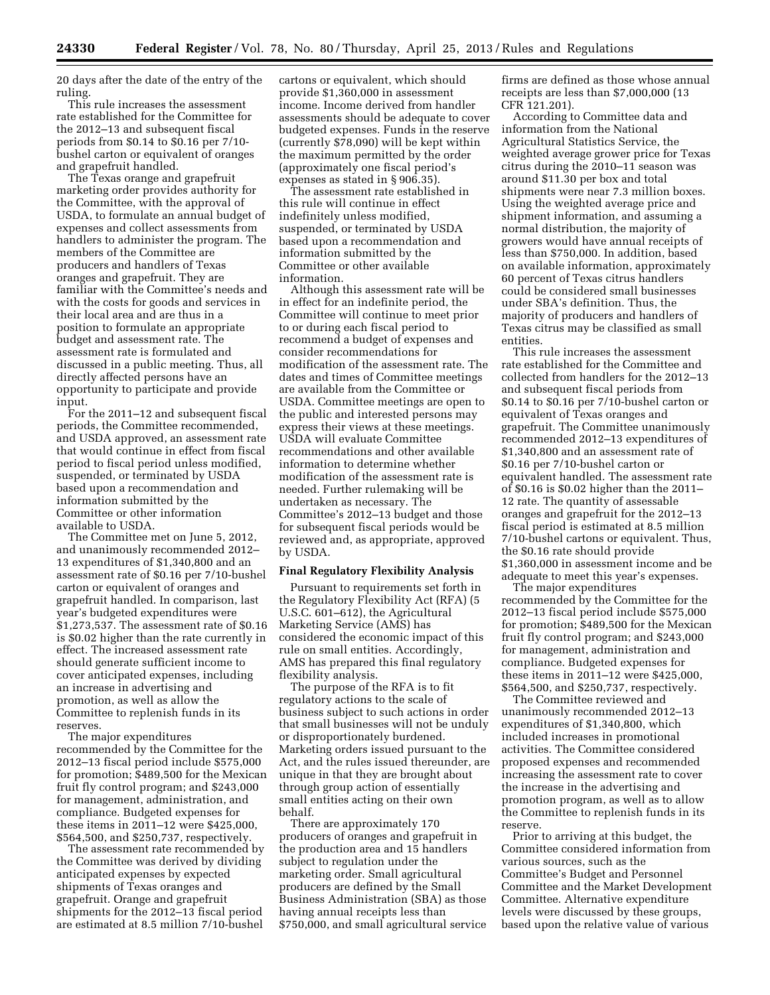20 days after the date of the entry of the ruling.

This rule increases the assessment rate established for the Committee for the 2012–13 and subsequent fiscal periods from \$0.14 to \$0.16 per 7/10 bushel carton or equivalent of oranges and grapefruit handled.

The Texas orange and grapefruit marketing order provides authority for the Committee, with the approval of USDA, to formulate an annual budget of expenses and collect assessments from handlers to administer the program. The members of the Committee are producers and handlers of Texas oranges and grapefruit. They are familiar with the Committee's needs and with the costs for goods and services in their local area and are thus in a position to formulate an appropriate budget and assessment rate. The assessment rate is formulated and discussed in a public meeting. Thus, all directly affected persons have an opportunity to participate and provide input.

For the 2011–12 and subsequent fiscal periods, the Committee recommended, and USDA approved, an assessment rate that would continue in effect from fiscal period to fiscal period unless modified, suspended, or terminated by USDA based upon a recommendation and information submitted by the Committee or other information available to USDA.

The Committee met on June 5, 2012, and unanimously recommended 2012– 13 expenditures of \$1,340,800 and an assessment rate of \$0.16 per 7/10-bushel carton or equivalent of oranges and grapefruit handled. In comparison, last year's budgeted expenditures were \$1,273,537. The assessment rate of \$0.16 is \$0.02 higher than the rate currently in effect. The increased assessment rate should generate sufficient income to cover anticipated expenses, including an increase in advertising and promotion, as well as allow the Committee to replenish funds in its reserves.

The major expenditures recommended by the Committee for the 2012–13 fiscal period include \$575,000 for promotion; \$489,500 for the Mexican fruit fly control program; and \$243,000 for management, administration, and compliance. Budgeted expenses for these items in 2011–12 were \$425,000, \$564,500, and \$250,737, respectively.

The assessment rate recommended by the Committee was derived by dividing anticipated expenses by expected shipments of Texas oranges and grapefruit. Orange and grapefruit shipments for the 2012–13 fiscal period are estimated at 8.5 million 7/10-bushel cartons or equivalent, which should provide \$1,360,000 in assessment income. Income derived from handler assessments should be adequate to cover budgeted expenses. Funds in the reserve (currently \$78,090) will be kept within the maximum permitted by the order (approximately one fiscal period's expenses as stated in § 906.35).

The assessment rate established in this rule will continue in effect indefinitely unless modified, suspended, or terminated by USDA based upon a recommendation and information submitted by the Committee or other available information.

Although this assessment rate will be in effect for an indefinite period, the Committee will continue to meet prior to or during each fiscal period to recommend a budget of expenses and consider recommendations for modification of the assessment rate. The dates and times of Committee meetings are available from the Committee or USDA. Committee meetings are open to the public and interested persons may express their views at these meetings. USDA will evaluate Committee recommendations and other available information to determine whether modification of the assessment rate is needed. Further rulemaking will be undertaken as necessary. The Committee's 2012–13 budget and those for subsequent fiscal periods would be reviewed and, as appropriate, approved by USDA.

#### **Final Regulatory Flexibility Analysis**

Pursuant to requirements set forth in the Regulatory Flexibility Act (RFA) (5 U.S.C. 601–612), the Agricultural Marketing Service (AMS) has considered the economic impact of this rule on small entities. Accordingly, AMS has prepared this final regulatory flexibility analysis.

The purpose of the RFA is to fit regulatory actions to the scale of business subject to such actions in order that small businesses will not be unduly or disproportionately burdened. Marketing orders issued pursuant to the Act, and the rules issued thereunder, are unique in that they are brought about through group action of essentially small entities acting on their own behalf.

There are approximately 170 producers of oranges and grapefruit in the production area and 15 handlers subject to regulation under the marketing order. Small agricultural producers are defined by the Small Business Administration (SBA) as those having annual receipts less than \$750,000, and small agricultural service

firms are defined as those whose annual receipts are less than \$7,000,000 (13 CFR 121.201).

According to Committee data and information from the National Agricultural Statistics Service, the weighted average grower price for Texas citrus during the 2010–11 season was around \$11.30 per box and total shipments were near 7.3 million boxes. Using the weighted average price and shipment information, and assuming a normal distribution, the majority of growers would have annual receipts of less than \$750,000. In addition, based on available information, approximately 60 percent of Texas citrus handlers could be considered small businesses under SBA's definition. Thus, the majority of producers and handlers of Texas citrus may be classified as small entities.

This rule increases the assessment rate established for the Committee and collected from handlers for the 2012–13 and subsequent fiscal periods from \$0.14 to \$0.16 per 7/10-bushel carton or equivalent of Texas oranges and grapefruit. The Committee unanimously recommended 2012–13 expenditures of \$1,340,800 and an assessment rate of \$0.16 per 7/10-bushel carton or equivalent handled. The assessment rate of \$0.16 is \$0.02 higher than the 2011– 12 rate. The quantity of assessable oranges and grapefruit for the 2012–13 fiscal period is estimated at 8.5 million 7/10-bushel cartons or equivalent. Thus, the \$0.16 rate should provide \$1,360,000 in assessment income and be adequate to meet this year's expenses.

The major expenditures recommended by the Committee for the 2012–13 fiscal period include \$575,000 for promotion; \$489,500 for the Mexican fruit fly control program; and \$243,000 for management, administration and compliance. Budgeted expenses for these items in 2011–12 were \$425,000, \$564,500, and \$250,737, respectively.

The Committee reviewed and unanimously recommended 2012–13 expenditures of \$1,340,800, which included increases in promotional activities. The Committee considered proposed expenses and recommended increasing the assessment rate to cover the increase in the advertising and promotion program, as well as to allow the Committee to replenish funds in its reserve.

Prior to arriving at this budget, the Committee considered information from various sources, such as the Committee's Budget and Personnel Committee and the Market Development Committee. Alternative expenditure levels were discussed by these groups, based upon the relative value of various